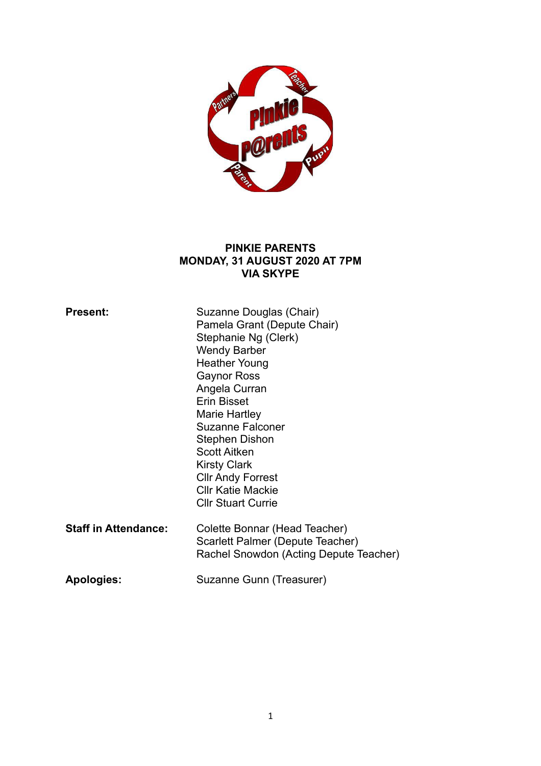

### **PINKIE PARENTS MONDAY, 31 AUGUST 2020 AT 7PM VIA SKYPE**

| <b>Present:</b>             | Suzanne Douglas (Chair)<br>Pamela Grant (Depute Chair)<br>Stephanie Ng (Clerk)<br><b>Wendy Barber</b><br><b>Heather Young</b><br><b>Gaynor Ross</b><br>Angela Curran<br>Erin Bisset<br>Marie Hartley<br><b>Suzanne Falconer</b><br>Stephen Dishon<br><b>Scott Aitken</b><br><b>Kirsty Clark</b><br><b>CIIr Andy Forrest</b><br><b>CIIr Katie Mackie</b><br><b>CIIr Stuart Currie</b> |
|-----------------------------|--------------------------------------------------------------------------------------------------------------------------------------------------------------------------------------------------------------------------------------------------------------------------------------------------------------------------------------------------------------------------------------|
| <b>Staff in Attendance:</b> | Colette Bonnar (Head Teacher)<br>Scarlett Palmer (Depute Teacher)<br>Rachel Snowdon (Acting Depute Teacher)                                                                                                                                                                                                                                                                          |
| <b>Apologies:</b>           | Suzanne Gunn (Treasurer)                                                                                                                                                                                                                                                                                                                                                             |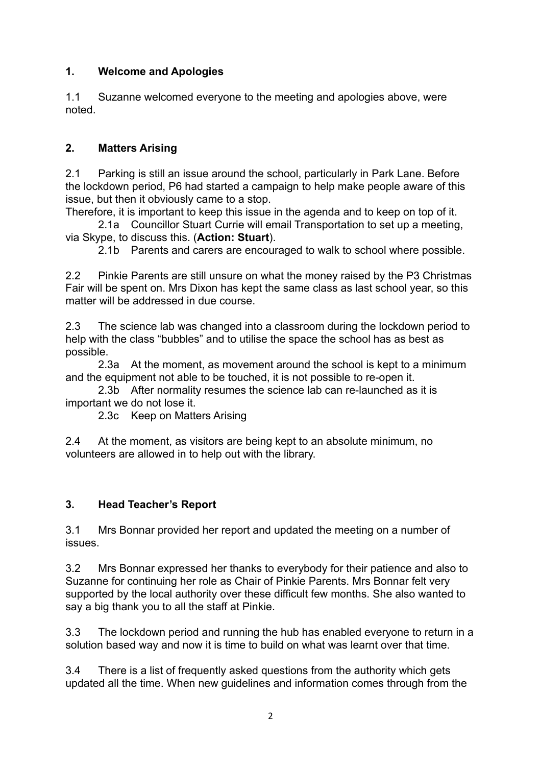# **1. Welcome and Apologies**

1.1 Suzanne welcomed everyone to the meeting and apologies above, were noted.

# **2. Matters Arising**

2.1 Parking is still an issue around the school, particularly in Park Lane. Before the lockdown period, P6 had started a campaign to help make people aware of this issue, but then it obviously came to a stop.

Therefore, it is important to keep this issue in the agenda and to keep on top of it.

 2.1a Councillor Stuart Currie will email Transportation to set up a meeting, via Skype, to discuss this. (**Action: Stuart**).

2.1b Parents and carers are encouraged to walk to school where possible.

2.2 Pinkie Parents are still unsure on what the money raised by the P3 Christmas Fair will be spent on. Mrs Dixon has kept the same class as last school year, so this matter will be addressed in due course.

2.3 The science lab was changed into a classroom during the lockdown period to help with the class "bubbles" and to utilise the space the school has as best as possible.

 2.3a At the moment, as movement around the school is kept to a minimum and the equipment not able to be touched, it is not possible to re-open it.

 2.3b After normality resumes the science lab can re-launched as it is important we do not lose it.

2.3c Keep on Matters Arising

2.4 At the moment, as visitors are being kept to an absolute minimum, no volunteers are allowed in to help out with the library.

# **3. Head Teacher's Report**

3.1 Mrs Bonnar provided her report and updated the meeting on a number of issues.

3.2 Mrs Bonnar expressed her thanks to everybody for their patience and also to Suzanne for continuing her role as Chair of Pinkie Parents. Mrs Bonnar felt very supported by the local authority over these difficult few months. She also wanted to say a big thank you to all the staff at Pinkie.

3.3 The lockdown period and running the hub has enabled everyone to return in a solution based way and now it is time to build on what was learnt over that time.

3.4 There is a list of frequently asked questions from the authority which gets updated all the time. When new guidelines and information comes through from the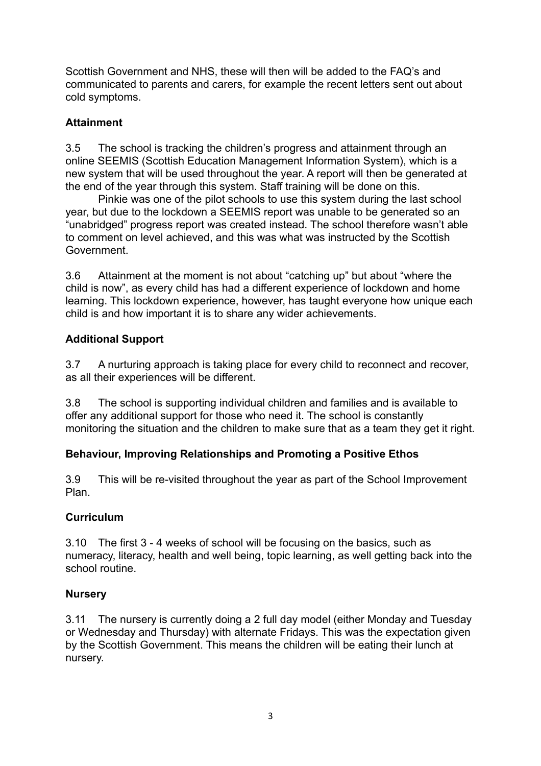Scottish Government and NHS, these will then will be added to the FAQ's and communicated to parents and carers, for example the recent letters sent out about cold symptoms.

## **Attainment**

3.5 The school is tracking the children's progress and attainment through an online SEEMIS (Scottish Education Management Information System), which is a new system that will be used throughout the year. A report will then be generated at the end of the year through this system. Staff training will be done on this.

 Pinkie was one of the pilot schools to use this system during the last school year, but due to the lockdown a SEEMIS report was unable to be generated so an "unabridged" progress report was created instead. The school therefore wasn't able to comment on level achieved, and this was what was instructed by the Scottish Government.

3.6 Attainment at the moment is not about "catching up" but about "where the child is now", as every child has had a different experience of lockdown and home learning. This lockdown experience, however, has taught everyone how unique each child is and how important it is to share any wider achievements.

## **Additional Support**

3.7 A nurturing approach is taking place for every child to reconnect and recover, as all their experiences will be different.

3.8 The school is supporting individual children and families and is available to offer any additional support for those who need it. The school is constantly monitoring the situation and the children to make sure that as a team they get it right.

### **Behaviour, Improving Relationships and Promoting a Positive Ethos**

3.9 This will be re-visited throughout the year as part of the School Improvement Plan.

### **Curriculum**

3.10 The first 3 - 4 weeks of school will be focusing on the basics, such as numeracy, literacy, health and well being, topic learning, as well getting back into the school routine.

### **Nursery**

3.11 The nursery is currently doing a 2 full day model (either Monday and Tuesday or Wednesday and Thursday) with alternate Fridays. This was the expectation given by the Scottish Government. This means the children will be eating their lunch at nursery.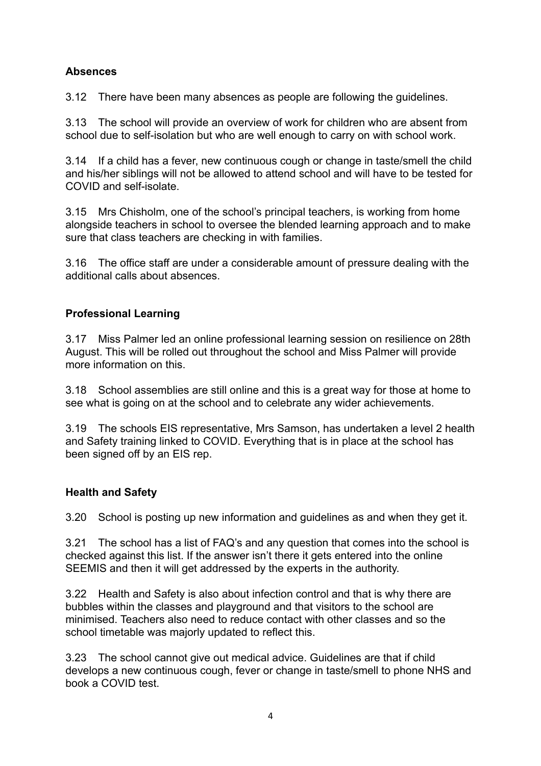## **Absences**

3.12 There have been many absences as people are following the guidelines.

3.13 The school will provide an overview of work for children who are absent from school due to self-isolation but who are well enough to carry on with school work.

3.14 If a child has a fever, new continuous cough or change in taste/smell the child and his/her siblings will not be allowed to attend school and will have to be tested for COVID and self-isolate.

3.15 Mrs Chisholm, one of the school's principal teachers, is working from home alongside teachers in school to oversee the blended learning approach and to make sure that class teachers are checking in with families.

3.16 The office staff are under a considerable amount of pressure dealing with the additional calls about absences.

# **Professional Learning**

3.17 Miss Palmer led an online professional learning session on resilience on 28th August. This will be rolled out throughout the school and Miss Palmer will provide more information on this.

3.18 School assemblies are still online and this is a great way for those at home to see what is going on at the school and to celebrate any wider achievements.

3.19 The schools EIS representative, Mrs Samson, has undertaken a level 2 health and Safety training linked to COVID. Everything that is in place at the school has been signed off by an EIS rep.

### **Health and Safety**

3.20 School is posting up new information and guidelines as and when they get it.

3.21 The school has a list of FAQ's and any question that comes into the school is checked against this list. If the answer isn't there it gets entered into the online SEEMIS and then it will get addressed by the experts in the authority.

3.22 Health and Safety is also about infection control and that is why there are bubbles within the classes and playground and that visitors to the school are minimised. Teachers also need to reduce contact with other classes and so the school timetable was majorly updated to reflect this.

3.23 The school cannot give out medical advice. Guidelines are that if child develops a new continuous cough, fever or change in taste/smell to phone NHS and book a COVID test.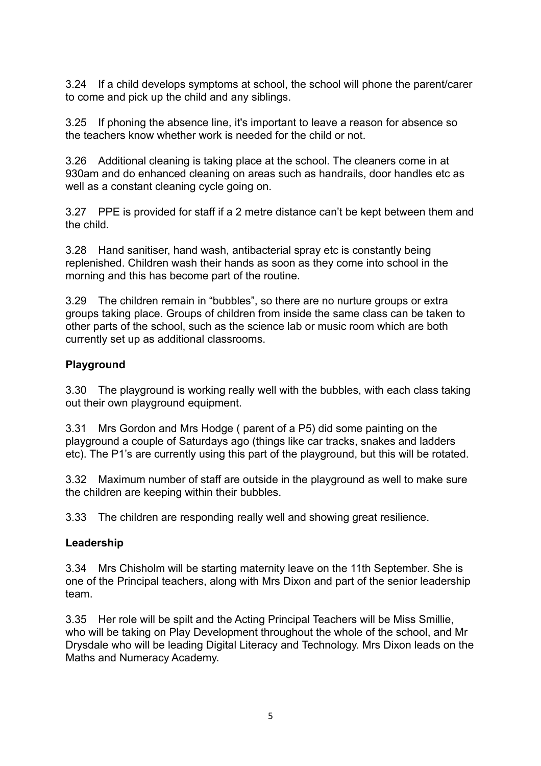3.24 If a child develops symptoms at school, the school will phone the parent/carer to come and pick up the child and any siblings.

3.25 If phoning the absence line, it's important to leave a reason for absence so the teachers know whether work is needed for the child or not.

3.26 Additional cleaning is taking place at the school. The cleaners come in at 930am and do enhanced cleaning on areas such as handrails, door handles etc as well as a constant cleaning cycle going on.

3.27 PPE is provided for staff if a 2 metre distance can't be kept between them and the child.

3.28 Hand sanitiser, hand wash, antibacterial spray etc is constantly being replenished. Children wash their hands as soon as they come into school in the morning and this has become part of the routine.

3.29 The children remain in "bubbles", so there are no nurture groups or extra groups taking place. Groups of children from inside the same class can be taken to other parts of the school, such as the science lab or music room which are both currently set up as additional classrooms.

### **Playground**

3.30 The playground is working really well with the bubbles, with each class taking out their own playground equipment.

3.31 Mrs Gordon and Mrs Hodge ( parent of a P5) did some painting on the playground a couple of Saturdays ago (things like car tracks, snakes and ladders etc). The P1's are currently using this part of the playground, but this will be rotated.

3.32 Maximum number of staff are outside in the playground as well to make sure the children are keeping within their bubbles.

3.33 The children are responding really well and showing great resilience.

### **Leadership**

3.34 Mrs Chisholm will be starting maternity leave on the 11th September. She is one of the Principal teachers, along with Mrs Dixon and part of the senior leadership team.

3.35 Her role will be spilt and the Acting Principal Teachers will be Miss Smillie, who will be taking on Play Development throughout the whole of the school, and Mr Drysdale who will be leading Digital Literacy and Technology. Mrs Dixon leads on the Maths and Numeracy Academy.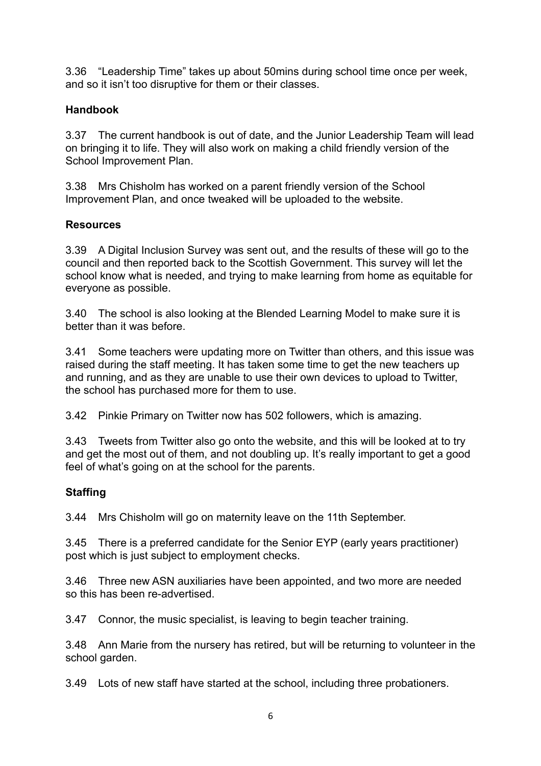3.36 "Leadership Time" takes up about 50mins during school time once per week, and so it isn't too disruptive for them or their classes.

## **Handbook**

3.37 The current handbook is out of date, and the Junior Leadership Team will lead on bringing it to life. They will also work on making a child friendly version of the School Improvement Plan.

3.38 Mrs Chisholm has worked on a parent friendly version of the School Improvement Plan, and once tweaked will be uploaded to the website.

### **Resources**

3.39 A Digital Inclusion Survey was sent out, and the results of these will go to the council and then reported back to the Scottish Government. This survey will let the school know what is needed, and trying to make learning from home as equitable for everyone as possible.

3.40 The school is also looking at the Blended Learning Model to make sure it is better than it was before.

3.41 Some teachers were updating more on Twitter than others, and this issue was raised during the staff meeting. It has taken some time to get the new teachers up and running, and as they are unable to use their own devices to upload to Twitter, the school has purchased more for them to use.

3.42 Pinkie Primary on Twitter now has 502 followers, which is amazing.

3.43 Tweets from Twitter also go onto the website, and this will be looked at to try and get the most out of them, and not doubling up. It's really important to get a good feel of what's going on at the school for the parents.

### **Staffing**

3.44 Mrs Chisholm will go on maternity leave on the 11th September.

3.45 There is a preferred candidate for the Senior EYP (early years practitioner) post which is just subject to employment checks.

3.46 Three new ASN auxiliaries have been appointed, and two more are needed so this has been re-advertised.

3.47 Connor, the music specialist, is leaving to begin teacher training.

3.48 Ann Marie from the nursery has retired, but will be returning to volunteer in the school garden.

3.49 Lots of new staff have started at the school, including three probationers.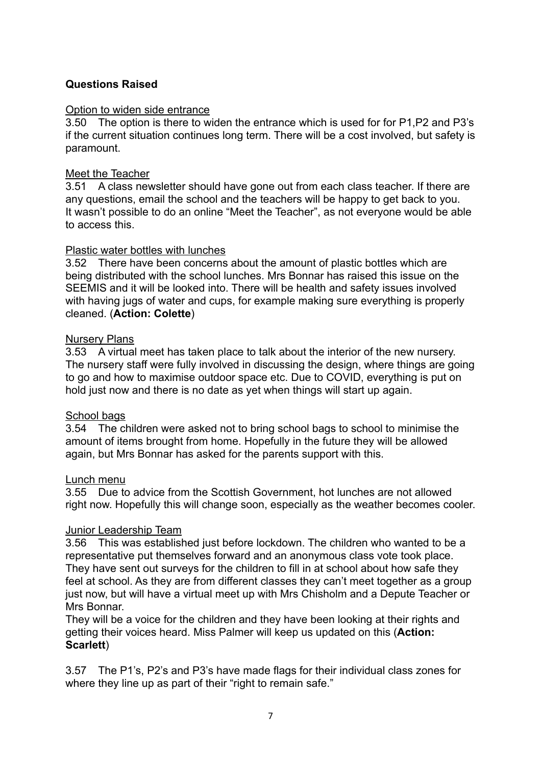### **Questions Raised**

#### Option to widen side entrance

3.50 The option is there to widen the entrance which is used for for P1,P2 and P3's if the current situation continues long term. There will be a cost involved, but safety is paramount.

#### Meet the Teacher

3.51 A class newsletter should have gone out from each class teacher. If there are any questions, email the school and the teachers will be happy to get back to you. It wasn't possible to do an online "Meet the Teacher", as not everyone would be able to access this.

#### Plastic water bottles with lunches

3.52 There have been concerns about the amount of plastic bottles which are being distributed with the school lunches. Mrs Bonnar has raised this issue on the SEEMIS and it will be looked into. There will be health and safety issues involved with having jugs of water and cups, for example making sure everything is properly cleaned. (**Action: Colette**)

#### Nursery Plans

3.53 A virtual meet has taken place to talk about the interior of the new nursery. The nursery staff were fully involved in discussing the design, where things are going to go and how to maximise outdoor space etc. Due to COVID, everything is put on hold just now and there is no date as yet when things will start up again.

#### School bags

3.54 The children were asked not to bring school bags to school to minimise the amount of items brought from home. Hopefully in the future they will be allowed again, but Mrs Bonnar has asked for the parents support with this.

#### Lunch menu

3.55 Due to advice from the Scottish Government, hot lunches are not allowed right now. Hopefully this will change soon, especially as the weather becomes cooler.

#### Junior Leadership Team

3.56 This was established just before lockdown. The children who wanted to be a representative put themselves forward and an anonymous class vote took place. They have sent out surveys for the children to fill in at school about how safe they feel at school. As they are from different classes they can't meet together as a group just now, but will have a virtual meet up with Mrs Chisholm and a Depute Teacher or Mrs Bonnar.

They will be a voice for the children and they have been looking at their rights and getting their voices heard. Miss Palmer will keep us updated on this (**Action: Scarlett**)

3.57 The P1's, P2's and P3's have made flags for their individual class zones for where they line up as part of their "right to remain safe."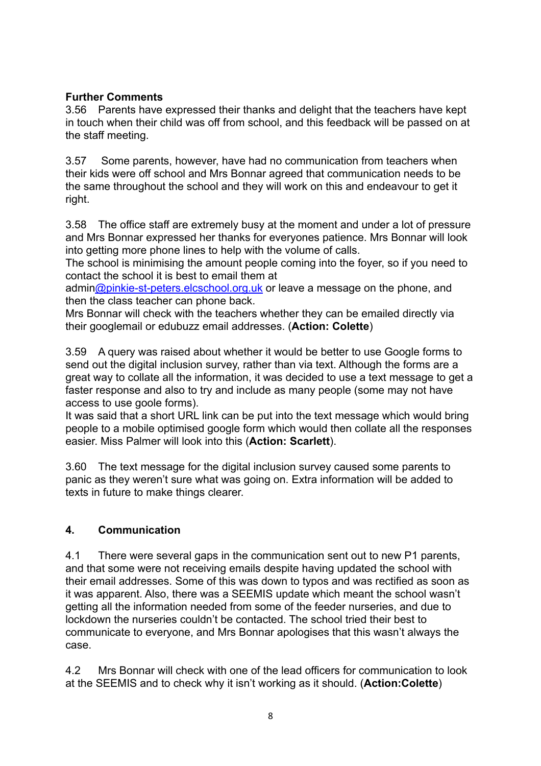### **Further Comments**

3.56 Parents have expressed their thanks and delight that the teachers have kept in touch when their child was off from school, and this feedback will be passed on at the staff meeting.

3.57 Some parents, however, have had no communication from teachers when their kids were off school and Mrs Bonnar agreed that communication needs to be the same throughout the school and they will work on this and endeavour to get it right.

3.58 The office staff are extremely busy at the moment and under a lot of pressure and Mrs Bonnar expressed her thanks for everyones patience. Mrs Bonnar will look into getting more phone lines to help with the volume of calls.

The school is minimising the amount people coming into the foyer, so if you need to contact the school it is best to email them at

admin[@pinkie-st-peters.elcschool.org.uk](mailto:admin@pinkie-st-peters.elcschool.org.uk) or leave a message on the phone, and then the class teacher can phone back.

Mrs Bonnar will check with the teachers whether they can be emailed directly via their googlemail or edubuzz email addresses. (**Action: Colette**)

3.59 A query was raised about whether it would be better to use Google forms to send out the digital inclusion survey, rather than via text. Although the forms are a great way to collate all the information, it was decided to use a text message to get a faster response and also to try and include as many people (some may not have access to use goole forms).

It was said that a short URL link can be put into the text message which would bring people to a mobile optimised google form which would then collate all the responses easier. Miss Palmer will look into this (**Action: Scarlett**).

3.60 The text message for the digital inclusion survey caused some parents to panic as they weren't sure what was going on. Extra information will be added to texts in future to make things clearer.

# **4. Communication**

4.1 There were several gaps in the communication sent out to new P1 parents, and that some were not receiving emails despite having updated the school with their email addresses. Some of this was down to typos and was rectified as soon as it was apparent. Also, there was a SEEMIS update which meant the school wasn't getting all the information needed from some of the feeder nurseries, and due to lockdown the nurseries couldn't be contacted. The school tried their best to communicate to everyone, and Mrs Bonnar apologises that this wasn't always the case.

4.2 Mrs Bonnar will check with one of the lead officers for communication to look at the SEEMIS and to check why it isn't working as it should. (**Action:Colette**)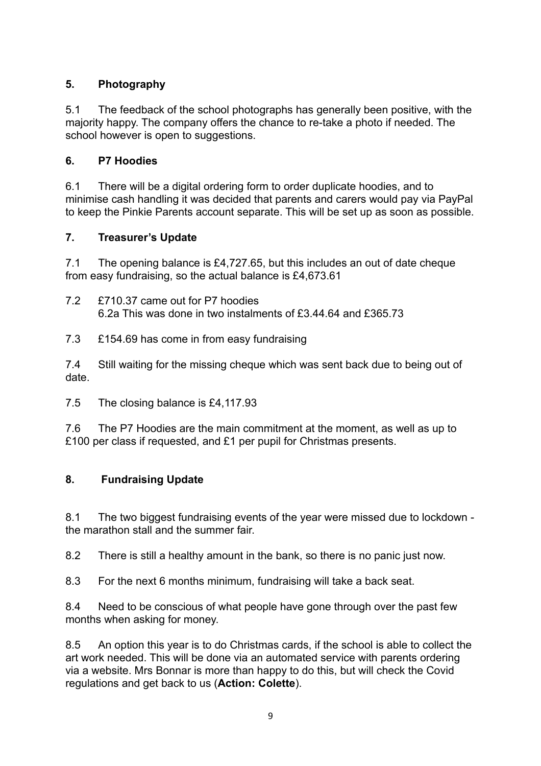## **5. Photography**

5.1 The feedback of the school photographs has generally been positive, with the majority happy. The company offers the chance to re-take a photo if needed. The school however is open to suggestions.

### **6. P7 Hoodies**

6.1 There will be a digital ordering form to order duplicate hoodies, and to minimise cash handling it was decided that parents and carers would pay via PayPal to keep the Pinkie Parents account separate. This will be set up as soon as possible.

### **7. Treasurer's Update**

7.1 The opening balance is £4,727.65, but this includes an out of date cheque from easy fundraising, so the actual balance is £4,673.61

- 7.2 £710.37 came out for P7 hoodies 6.2a This was done in two instalments of £3.44.64 and £365.73
- 7.3 £154.69 has come in from easy fundraising

7.4 Still waiting for the missing cheque which was sent back due to being out of date.

7.5 The closing balance is £4,117.93

7.6 The P7 Hoodies are the main commitment at the moment, as well as up to £100 per class if requested, and £1 per pupil for Christmas presents.

### **8. Fundraising Update**

8.1 The two biggest fundraising events of the year were missed due to lockdown the marathon stall and the summer fair.

8.2 There is still a healthy amount in the bank, so there is no panic just now.

8.3 For the next 6 months minimum, fundraising will take a back seat.

8.4 Need to be conscious of what people have gone through over the past few months when asking for money.

8.5 An option this year is to do Christmas cards, if the school is able to collect the art work needed. This will be done via an automated service with parents ordering via a website. Mrs Bonnar is more than happy to do this, but will check the Covid regulations and get back to us (**Action: Colette**).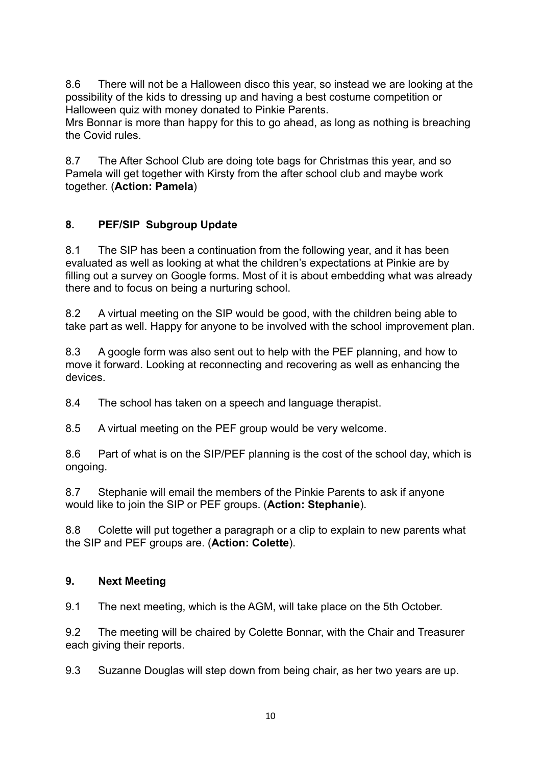8.6 There will not be a Halloween disco this year, so instead we are looking at the possibility of the kids to dressing up and having a best costume competition or Halloween quiz with money donated to Pinkie Parents.

Mrs Bonnar is more than happy for this to go ahead, as long as nothing is breaching the Covid rules.

8.7 The After School Club are doing tote bags for Christmas this year, and so Pamela will get together with Kirsty from the after school club and maybe work together. (**Action: Pamela**)

## **8. PEF/SIP Subgroup Update**

8.1 The SIP has been a continuation from the following year, and it has been evaluated as well as looking at what the children's expectations at Pinkie are by filling out a survey on Google forms. Most of it is about embedding what was already there and to focus on being a nurturing school.

8.2 A virtual meeting on the SIP would be good, with the children being able to take part as well. Happy for anyone to be involved with the school improvement plan.

8.3 A google form was also sent out to help with the PEF planning, and how to move it forward. Looking at reconnecting and recovering as well as enhancing the devices.

8.4 The school has taken on a speech and language therapist.

8.5 A virtual meeting on the PEF group would be very welcome.

8.6 Part of what is on the SIP/PEF planning is the cost of the school day, which is ongoing.

8.7 Stephanie will email the members of the Pinkie Parents to ask if anyone would like to join the SIP or PEF groups. (**Action: Stephanie**).

8.8 Colette will put together a paragraph or a clip to explain to new parents what the SIP and PEF groups are. (**Action: Colette**).

### **9. Next Meeting**

9.1 The next meeting, which is the AGM, will take place on the 5th October.

9.2 The meeting will be chaired by Colette Bonnar, with the Chair and Treasurer each giving their reports.

9.3 Suzanne Douglas will step down from being chair, as her two years are up.